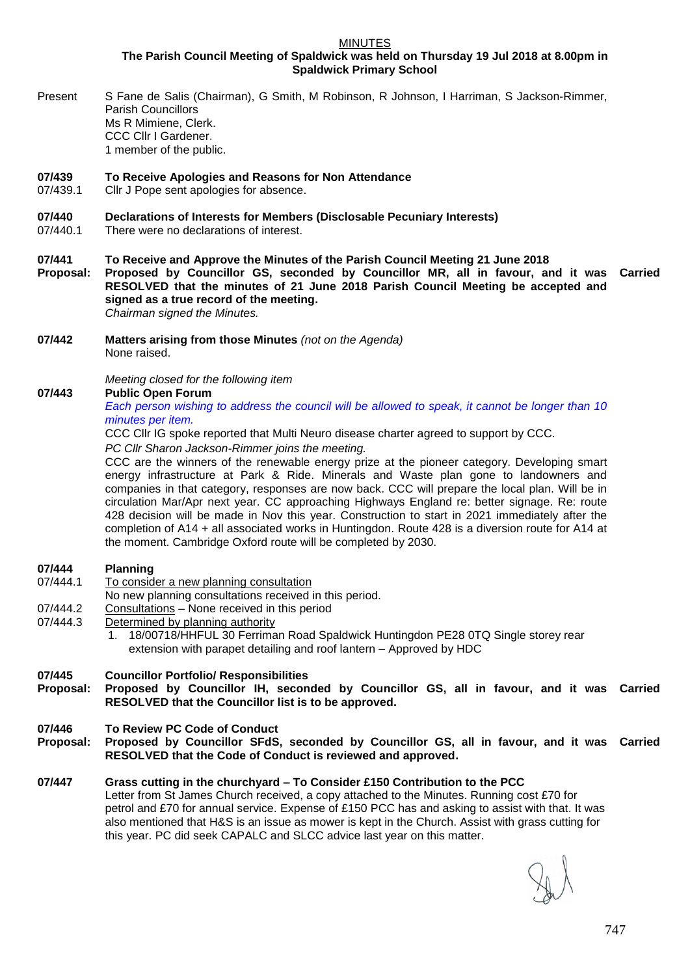**MINUTES** 

**The Parish Council Meeting of Spaldwick was held on Thursday 19 Jul 2018 at 8.00pm in Spaldwick Primary School**

Present S Fane de Salis (Chairman), G Smith, M Robinson, R Johnson, I Harriman, S Jackson-Rimmer, Parish Councillors Ms R Mimiene, Clerk. CCC Cllr I Gardener. 1 member of the public.

### **07/439 To Receive Apologies and Reasons for Non Attendance**

07/439.1 Cllr J Pope sent apologies for absence.

### **07/440 Declarations of Interests for Members (Disclosable Pecuniary Interests)**

- 07/440.1 There were no declarations of interest.
- **07/441 To Receive and Approve the Minutes of the Parish Council Meeting 21 June 2018**

**Proposal: Proposed by Councillor GS, seconded by Councillor MR, all in favour, and it was RESOLVED that the minutes of 21 June 2018 Parish Council Meeting be accepted and signed as a true record of the meeting. Carried** *Chairman signed the Minutes.*

**07/442 Matters arising from those Minutes** *(not on the Agenda)* None raised.

*Meeting closed for the following item*

### **07/443 Public Open Forum**

*Each person wishing to address the council will be allowed to speak, it cannot be longer than 10 minutes per item.* 

CCC Cllr IG spoke reported that Multi Neuro disease charter agreed to support by CCC.

*PC Cllr Sharon Jackson-Rimmer joins the meeting.*

CCC are the winners of the renewable energy prize at the pioneer category. Developing smart energy infrastructure at Park & Ride. Minerals and Waste plan gone to landowners and companies in that category, responses are now back. CCC will prepare the local plan. Will be in circulation Mar/Apr next year. CC approaching Highways England re: better signage. Re: route 428 decision will be made in Nov this year. Construction to start in 2021 immediately after the completion of A14 + all associated works in Huntingdon. Route 428 is a diversion route for A14 at the moment. Cambridge Oxford route will be completed by 2030.

### **07/444 Planning**

- 07/444.1 To consider a new planning consultation
- No new planning consultations received in this period.
- 07/444.2 Consultations None received in this period
- 07/444.3 Determined by planning authority
	- 1. 18/00718/HHFUL 30 Ferriman Road Spaldwick Huntingdon PE28 0TQ Single storey rear extension with parapet detailing and roof lantern – Approved by HDC

### **07/445 Councillor Portfolio/ Responsibilities**

- **Proposal: Proposed by Councillor IH, seconded by Councillor GS, all in favour, and it was Carried RESOLVED that the Councillor list is to be approved.**
- **07/446 To Review PC Code of Conduct**
- **Proposal: Proposed by Councillor SFdS, seconded by Councillor GS, all in favour, and it was Carried RESOLVED that the Code of Conduct is reviewed and approved.**

# **07/447 Grass cutting in the churchyard – To Consider £150 Contribution to the PCC** Letter from St James Church received, a copy attached to the Minutes. Running cost £70 for

petrol and £70 for annual service. Expense of £150 PCC has and asking to assist with that. It was also mentioned that H&S is an issue as mower is kept in the Church. Assist with grass cutting for this year. PC did seek CAPALC and SLCC advice last year on this matter.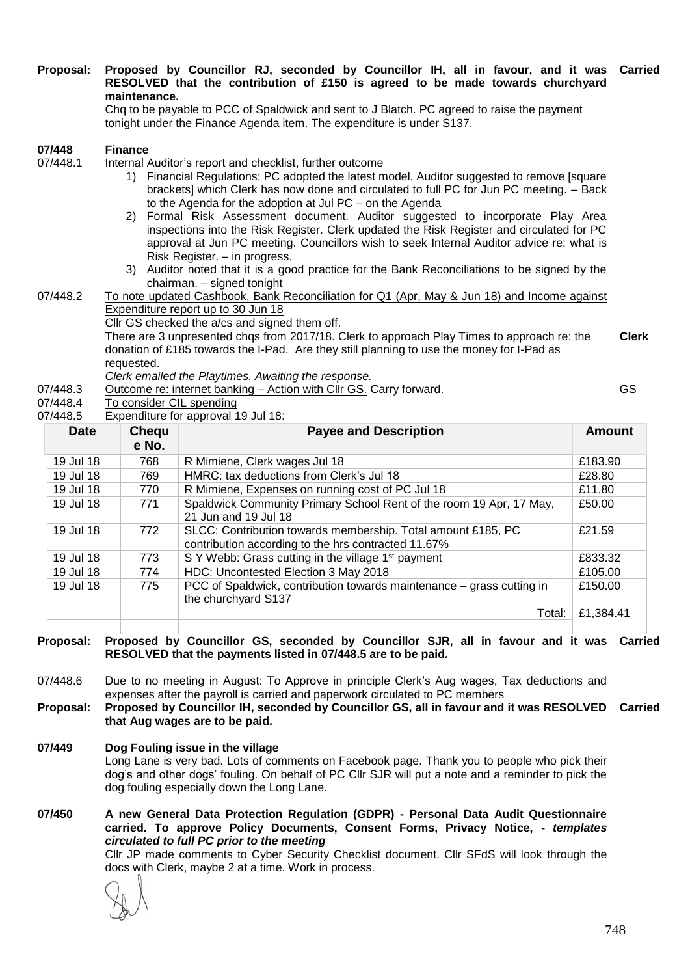### **Proposal: Proposed by Councillor RJ, seconded by Councillor IH, all in favour, and it was Carried RESOLVED that the contribution of £150 is agreed to be made towards churchyard maintenance.**

Chq to be payable to PCC of Spaldwick and sent to J Blatch. PC agreed to raise the payment tonight under the Finance Agenda item. The expenditure is under S137.

|                                                                                             | 07/448                                          | <b>Finance</b>                                                                              |                                                                                              |               |  |  |
|---------------------------------------------------------------------------------------------|-------------------------------------------------|---------------------------------------------------------------------------------------------|----------------------------------------------------------------------------------------------|---------------|--|--|
|                                                                                             | 07/448.1                                        | Internal Auditor's report and checklist, further outcome                                    |                                                                                              |               |  |  |
|                                                                                             |                                                 | 1)                                                                                          | Financial Regulations: PC adopted the latest model. Auditor suggested to remove [square]     |               |  |  |
|                                                                                             |                                                 |                                                                                             | brackets] which Clerk has now done and circulated to full PC for Jun PC meeting. - Back      |               |  |  |
|                                                                                             |                                                 |                                                                                             | to the Agenda for the adoption at Jul PC - on the Agenda                                     |               |  |  |
|                                                                                             |                                                 |                                                                                             | 2) Formal Risk Assessment document. Auditor suggested to incorporate Play Area               |               |  |  |
|                                                                                             |                                                 |                                                                                             | inspections into the Risk Register. Clerk updated the Risk Register and circulated for PC    |               |  |  |
|                                                                                             |                                                 |                                                                                             | approval at Jun PC meeting. Councillors wish to seek Internal Auditor advice re: what is     |               |  |  |
|                                                                                             |                                                 |                                                                                             | Risk Register. - in progress.                                                                |               |  |  |
|                                                                                             |                                                 |                                                                                             | 3) Auditor noted that it is a good practice for the Bank Reconciliations to be signed by the |               |  |  |
| chairman. - signed tonight                                                                  |                                                 |                                                                                             |                                                                                              |               |  |  |
|                                                                                             | 07/448.2                                        | To note updated Cashbook, Bank Reconciliation for Q1 (Apr, May & Jun 18) and Income against |                                                                                              |               |  |  |
| Expenditure report up to 30 Jun 18                                                          |                                                 |                                                                                             |                                                                                              |               |  |  |
| Cllr GS checked the a/cs and signed them off.                                               |                                                 |                                                                                             |                                                                                              |               |  |  |
| There are 3 unpresented chgs from 2017/18. Clerk to approach Play Times to approach re: the |                                                 |                                                                                             |                                                                                              | <b>Clerk</b>  |  |  |
|                                                                                             |                                                 | donation of £185 towards the I-Pad. Are they still planning to use the money for I-Pad as   |                                                                                              |               |  |  |
|                                                                                             |                                                 | requested.                                                                                  |                                                                                              |               |  |  |
| Clerk emailed the Playtimes. Awaiting the response.<br>GS                                   |                                                 |                                                                                             |                                                                                              |               |  |  |
| Outcome re: internet banking - Action with CIIr GS. Carry forward.<br>07/448.3              |                                                 |                                                                                             |                                                                                              |               |  |  |
| To consider CIL spending<br>07/448.4                                                        |                                                 |                                                                                             |                                                                                              |               |  |  |
|                                                                                             | Expenditure for approval 19 Jul 18:<br>07/448.5 |                                                                                             |                                                                                              |               |  |  |
|                                                                                             | <b>Date</b>                                     | Chequ                                                                                       | <b>Payee and Description</b>                                                                 | <b>Amount</b> |  |  |
|                                                                                             |                                                 | e No.                                                                                       |                                                                                              |               |  |  |
|                                                                                             | 19 Jul 18                                       | 768                                                                                         | R Mimiene, Clerk wages Jul 18                                                                | £183.90       |  |  |
|                                                                                             | 19 Jul 18                                       | 769                                                                                         | HMRC: tax deductions from Clerk's Jul 18                                                     | £28.80        |  |  |
|                                                                                             | 19 Jul 18                                       | 770                                                                                         | R Mimiene, Expenses on running cost of PC Jul 18                                             | £11.80        |  |  |
|                                                                                             | 19 Jul 18                                       | 771                                                                                         | Spaldwick Community Primary School Rent of the room 19 Apr, 17 May,                          | £50.00        |  |  |
|                                                                                             |                                                 |                                                                                             | 21 Jun and 19 Jul 18                                                                         |               |  |  |
|                                                                                             | 19 Jul 18                                       | 772                                                                                         | SLCC: Contribution towards membership. Total amount £185, PC                                 | £21.59        |  |  |
|                                                                                             |                                                 |                                                                                             | contribution according to the hrs contracted 11.67%                                          |               |  |  |
|                                                                                             | 19 Jul 18                                       | 773                                                                                         | S Y Webb: Grass cutting in the village 1 <sup>st</sup> payment                               | £833.32       |  |  |
|                                                                                             | 19 Jul 18                                       | 774                                                                                         | HDC: Uncontested Election 3 May 2018                                                         | £105.00       |  |  |
|                                                                                             | 19 Jul 18                                       | 775                                                                                         | PCC of Spaldwick, contribution towards maintenance – grass cutting in                        | £150.00       |  |  |
|                                                                                             |                                                 |                                                                                             | the churchyard S137                                                                          |               |  |  |

**Proposal: Proposed by Councillor GS, seconded by Councillor SJR, all in favour and it was Carried RESOLVED that the payments listed in 07/448.5 are to be paid.**

07/448.6 Due to no meeting in August: To Approve in principle Clerk's Aug wages, Tax deductions and expenses after the payroll is carried and paperwork circulated to PC members

**Proposal: Proposed by Councillor IH, seconded by Councillor GS, all in favour and it was RESOLVED Carried that Aug wages are to be paid.**

**07/449 Dog Fouling issue in the village** Long Lane is very bad. Lots of comments on Facebook page. Thank you to people who pick their dog's and other dogs' fouling. On behalf of PC Cllr SJR will put a note and a reminder to pick the dog fouling especially down the Long Lane.

**07/450 A new General Data Protection Regulation (GDPR) - Personal Data Audit Questionnaire carried. To approve Policy Documents, Consent Forms, Privacy Notice, -** *templates circulated to full PC prior to the meeting* Cllr JP made comments to Cyber Security Checklist document. Cllr SFdS will look through the docs with Clerk, maybe 2 at a time. Work in process.

Total: £1,384.41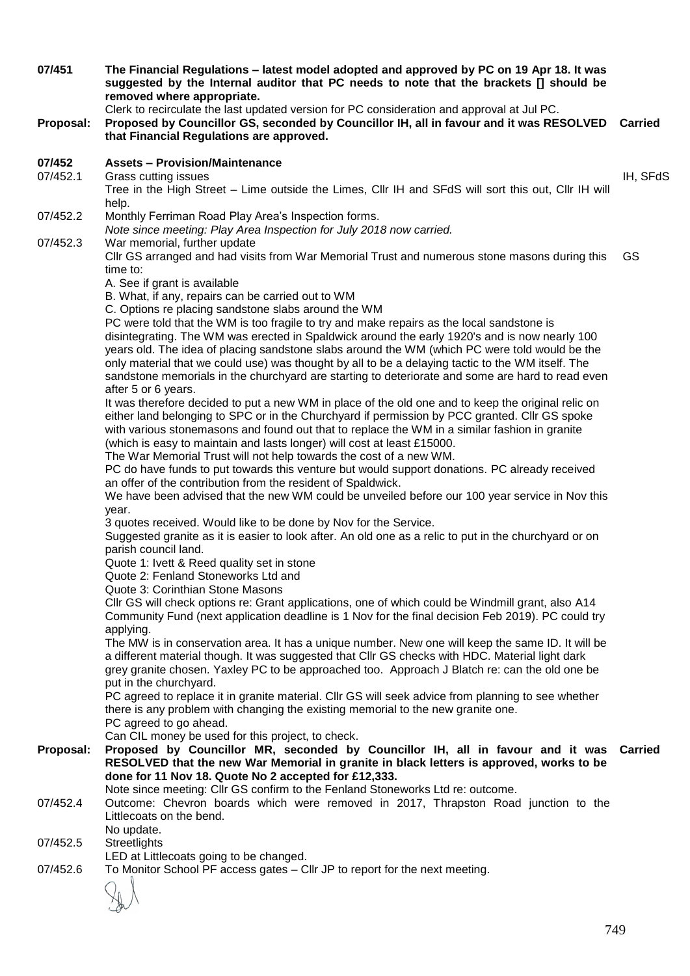| 07/451    | The Financial Regulations – latest model adopted and approved by PC on 19 Apr 18. It was<br>suggested by the Internal auditor that PC needs to note that the brackets [] should be<br>removed where appropriate.                                                                                                                                                                                                                                                                                                                                            |                |  |  |
|-----------|-------------------------------------------------------------------------------------------------------------------------------------------------------------------------------------------------------------------------------------------------------------------------------------------------------------------------------------------------------------------------------------------------------------------------------------------------------------------------------------------------------------------------------------------------------------|----------------|--|--|
| Proposal: | Clerk to recirculate the last updated version for PC consideration and approval at Jul PC.<br>Proposed by Councillor GS, seconded by Councillor IH, all in favour and it was RESOLVED Carried<br>that Financial Regulations are approved.                                                                                                                                                                                                                                                                                                                   |                |  |  |
| 07/452    | <b>Assets - Provision/Maintenance</b>                                                                                                                                                                                                                                                                                                                                                                                                                                                                                                                       |                |  |  |
| 07/452.1  | Grass cutting issues<br>Tree in the High Street - Lime outside the Limes, Cllr IH and SFdS will sort this out, Cllr IH will<br>help.                                                                                                                                                                                                                                                                                                                                                                                                                        | IH, SFdS       |  |  |
| 07/452.2  | Monthly Ferriman Road Play Area's Inspection forms.<br>Note since meeting: Play Area Inspection for July 2018 now carried.                                                                                                                                                                                                                                                                                                                                                                                                                                  |                |  |  |
| 07/452.3  | War memorial, further update<br>CIIr GS arranged and had visits from War Memorial Trust and numerous stone masons during this<br>time to:                                                                                                                                                                                                                                                                                                                                                                                                                   | GS             |  |  |
|           | A. See if grant is available<br>B. What, if any, repairs can be carried out to WM                                                                                                                                                                                                                                                                                                                                                                                                                                                                           |                |  |  |
|           | C. Options re placing sandstone slabs around the WM<br>PC were told that the WM is too fragile to try and make repairs as the local sandstone is<br>disintegrating. The WM was erected in Spaldwick around the early 1920's and is now nearly 100<br>years old. The idea of placing sandstone slabs around the WM (which PC were told would be the<br>only material that we could use) was thought by all to be a delaying tactic to the WM itself. The<br>sandstone memorials in the churchyard are starting to deteriorate and some are hard to read even |                |  |  |
|           | after 5 or 6 years.<br>It was therefore decided to put a new WM in place of the old one and to keep the original relic on<br>either land belonging to SPC or in the Churchyard if permission by PCC granted. Cllr GS spoke<br>with various stonemasons and found out that to replace the WM in a similar fashion in granite<br>(which is easy to maintain and lasts longer) will cost at least £15000.                                                                                                                                                      |                |  |  |
|           | The War Memorial Trust will not help towards the cost of a new WM.<br>PC do have funds to put towards this venture but would support donations. PC already received<br>an offer of the contribution from the resident of Spaldwick.<br>We have been advised that the new WM could be unveiled before our 100 year service in Nov this                                                                                                                                                                                                                       |                |  |  |
|           | year.<br>3 quotes received. Would like to be done by Nov for the Service.<br>Suggested granite as it is easier to look after. An old one as a relic to put in the churchyard or on<br>parish council land.                                                                                                                                                                                                                                                                                                                                                  |                |  |  |
|           | Quote 1: Ivett & Reed quality set in stone<br>Quote 2: Fenland Stoneworks Ltd and<br>Quote 3: Corinthian Stone Masons                                                                                                                                                                                                                                                                                                                                                                                                                                       |                |  |  |
|           | CIIr GS will check options re: Grant applications, one of which could be Windmill grant, also A14<br>Community Fund (next application deadline is 1 Nov for the final decision Feb 2019). PC could try                                                                                                                                                                                                                                                                                                                                                      |                |  |  |
|           | applying.<br>The MW is in conservation area. It has a unique number. New one will keep the same ID. It will be<br>a different material though. It was suggested that Cllr GS checks with HDC. Material light dark<br>grey granite chosen. Yaxley PC to be approached too. Approach J Blatch re: can the old one be                                                                                                                                                                                                                                          |                |  |  |
|           | put in the churchyard.<br>PC agreed to replace it in granite material. Cllr GS will seek advice from planning to see whether<br>there is any problem with changing the existing memorial to the new granite one.<br>PC agreed to go ahead.                                                                                                                                                                                                                                                                                                                  |                |  |  |
| Proposal: | Can CIL money be used for this project, to check.<br>Proposed by Councillor MR, seconded by Councillor IH, all in favour and it was<br>RESOLVED that the new War Memorial in granite in black letters is approved, works to be<br>done for 11 Nov 18. Quote No 2 accepted for £12,333.                                                                                                                                                                                                                                                                      | <b>Carried</b> |  |  |
| 07/452.4  | Note since meeting: Cllr GS confirm to the Fenland Stoneworks Ltd re: outcome.<br>Outcome: Chevron boards which were removed in 2017, Thrapston Road junction to the<br>Littlecoats on the bend.                                                                                                                                                                                                                                                                                                                                                            |                |  |  |
| 07/452.5  | No update.<br><b>Streetlights</b><br>LED at Littlecoats going to be changed.                                                                                                                                                                                                                                                                                                                                                                                                                                                                                |                |  |  |
| 07/452.6  | To Monitor School PF access gates - Cllr JP to report for the next meeting.                                                                                                                                                                                                                                                                                                                                                                                                                                                                                 |                |  |  |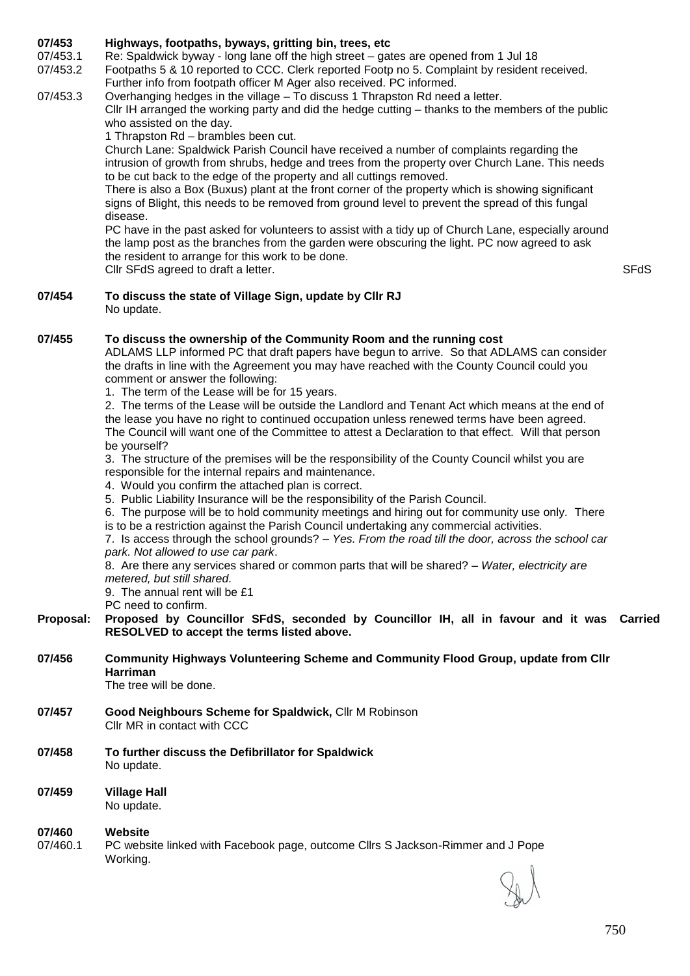# **07/453 Highways, footpaths, byways, gritting bin, trees, etc**

07/453.1 Re: Spaldwick byway - long lane off the high street – gates are opened from 1 Jul 18

07/453.2 Footpaths 5 & 10 reported to CCC. Clerk reported Footp no 5. Complaint by resident received. Further info from footpath officer M Ager also received. PC informed.

 $07/453.3$  Overhanging hedges in the village – To discuss 1 Thrapston Rd need a letter. Cllr IH arranged the working party and did the hedge cutting – thanks to the members of the public who assisted on the day.

1 Thrapston Rd – brambles been cut.

Church Lane: Spaldwick Parish Council have received a number of complaints regarding the intrusion of growth from shrubs, hedge and trees from the property over Church Lane. This needs to be cut back to the edge of the property and all cuttings removed.

There is also a Box (Buxus) plant at the front corner of the property which is showing significant signs of Blight, this needs to be removed from ground level to prevent the spread of this fungal disease.

PC have in the past asked for volunteers to assist with a tidy up of Church Lane, especially around the lamp post as the branches from the garden were obscuring the light. PC now agreed to ask the resident to arrange for this work to be done. Cllr SFdS agreed to draft a letter. SFdS and the state of the state of the state of the state of the state of the state of the state of the state of the state of the state of the state of the state of the state of the stat

**07/454 To discuss the state of Village Sign, update by Cllr RJ** No update.

# **07/455 To discuss the ownership of the Community Room and the running cost**

ADLAMS LLP informed PC that draft papers have begun to arrive. So that ADLAMS can consider the drafts in line with the Agreement you may have reached with the County Council could you comment or answer the following:

1. The term of the Lease will be for 15 years.

2. The terms of the Lease will be outside the Landlord and Tenant Act which means at the end of the lease you have no right to continued occupation unless renewed terms have been agreed. The Council will want one of the Committee to attest a Declaration to that effect. Will that person be yourself?

3. The structure of the premises will be the responsibility of the County Council whilst you are responsible for the internal repairs and maintenance.

4. Would you confirm the attached plan is correct.

5. Public Liability Insurance will be the responsibility of the Parish Council.

6. The purpose will be to hold community meetings and hiring out for community use only. There is to be a restriction against the Parish Council undertaking any commercial activities.

7. Is access through the school grounds? – *Yes. From the road till the door, across the school car park. Not allowed to use car park*.

### 8. Are there any services shared or common parts that will be shared? *– Water, electricity are metered, but still shared.*

9. The annual rent will be £1

PC need to confirm.

- **Proposal: Proposed by Councillor SFdS, seconded by Councillor IH, all in favour and it was Carried RESOLVED to accept the terms listed above.**
- **07/456 Community Highways Volunteering Scheme and Community Flood Group, update from Cllr Harriman**

The tree will be done.

- **07/457 Good Neighbours Scheme for Spaldwick,** Cllr M Robinson Cllr MR in contact with CCC
- **07/458 To further discuss the Defibrillator for Spaldwick** No update.
- **07/459 Village Hall** No update.

### **07/460 Website**

07/460.1 PC website linked with Facebook page, outcome Cllrs S Jackson-Rimmer and J Pope Working.